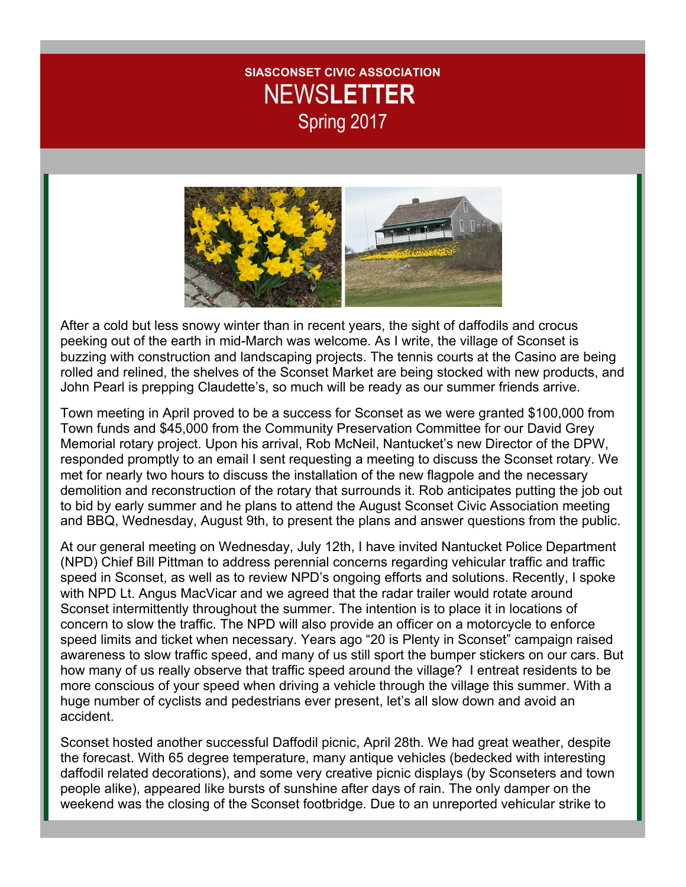## **SIASCONSET CIVIC ASSOCIATION** NEWS**LETTER** Spring 2017



After a cold but less snowy winter than in recent years, the sight of daffodils and crocus peeking out of the earth in mid-March was welcome. As I write, the village of Sconset is buzzing with construction and landscaping projects. The tennis courts at the Casino are being rolled and relined, the shelves of the Sconset Market are being stocked with new products, and John Pearl is prepping Claudette's, so much will be ready as our summer friends arrive.

Town meeting in April proved to be a success for Sconset as we were granted \$100,000 from Town funds and \$45,000 from the Community Preservation Committee for our David Grey Memorial rotary project. Upon his arrival, Rob McNeil, Nantucket's new Director of the DPW, responded promptly to an email I sent requesting a meeting to discuss the Sconset rotary. We met for nearly two hours to discuss the installation of the new flagpole and the necessary demolition and reconstruction of the rotary that surrounds it. Rob anticipates putting the job out to bid by early summer and he plans to attend the August Sconset Civic Association meeting and BBQ, Wednesday, August 9th, to present the plans and answer questions from the public.

At our general meeting on Wednesday, July 12th, I have invited Nantucket Police Department (NPD) Chief Bill Pittman to address perennial concerns regarding vehicular traffic and traffic speed in Sconset, as well as to review NPD's ongoing efforts and solutions. Recently, I spoke with NPD Lt. Angus MacVicar and we agreed that the radar trailer would rotate around Sconset intermittently throughout the summer. The intention is to place it in locations of concern to slow the traffic. The NPD will also provide an officer on a motorcycle to enforce speed limits and ticket when necessary. Years ago "20 is Plenty in Sconset" campaign raised awareness to slow traffic speed, and many of us still sport the bumper stickers on our cars. But how many of us really observe that traffic speed around the village? I entreat residents to be more conscious of your speed when driving a vehicle through the village this summer. With a huge number of cyclists and pedestrians ever present, let's all slow down and avoid an accident.

Sconset hosted another successful Daffodil picnic, April 28th. We had great weather, despite the forecast. With 65 degree temperature, many antique vehicles (bedecked with interesting daffodil related decorations), and some very creative picnic displays (by Sconseters and town people alike), appeared like bursts of sunshine after days of rain. The only damper on the weekend was the closing of the Sconset footbridge. Due to an unreported vehicular strike to